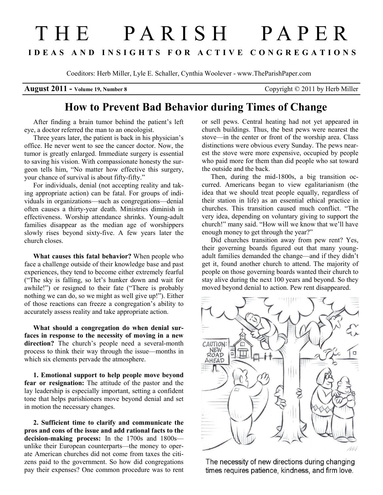## T H E P A R I S H P A P E R I D E A S A N D I N S I G H T S F O R A C T I V E C O N G R E G A T I O N S

Coeditors: Herb Miller, Lyle E. Schaller, Cynthia Woolever - www.TheParishPaper.com

August 2011 - Volume 19, Number 8 Copyright © 2011 by Herb Miller

## How to Prevent Bad Behavior during Times of Change

After finding a brain tumor behind the patient's left eye, a doctor referred the man to an oncologist.

Three years later, the patient is back in his physician's office. He never went to see the cancer doctor. Now, the tumor is greatly enlarged. Immediate surgery is essential to saving his vision. With compassionate honesty the surgeon tells him, "No matter how effective this surgery, your chance of survival is about fifty-fifty."

For individuals, denial (not accepting reality and taking appropriate action) can be fatal. For groups of individuals in organizations—such as congregations—denial often causes a thirty-year death. Ministries diminish in effectiveness. Worship attendance shrinks. Young-adult families disappear as the median age of worshippers slowly rises beyond sixty-five. A few years later the church closes.

What causes this fatal behavior? When people who face a challenge outside of their knowledge base and past experiences, they tend to become either extremely fearful ("The sky is falling, so let's hunker down and wait for awhile!") or resigned to their fate ("There is probably nothing we can do, so we might as well give up!"). Either of those reactions can freeze a congregation's ability to accurately assess reality and take appropriate action.

What should a congregation do when denial surfaces in response to the necessity of moving in a new direction? The church's people need a several-month process to think their way through the issue—months in which six elements pervade the atmosphere.

1. Emotional support to help people move beyond fear or resignation: The attitude of the pastor and the lay leadership is especially important, setting a confident tone that helps parishioners move beyond denial and set in motion the necessary changes.

2. Sufficient time to clarify and communicate the pros and cons of the issue and add rational facts to the decision-making process: In the 1700s and 1800s unlike their European counterparts—the money to operate American churches did not come from taxes the citizens paid to the government. So how did congregations pay their expenses? One common procedure was to rent or sell pews. Central heating had not yet appeared in church buildings. Thus, the best pews were nearest the stove—in the center or front of the worship area. Class distinctions were obvious every Sunday. The pews nearest the stove were more expensive, occupied by people who paid more for them than did people who sat toward the outside and the back.

Then, during the mid-1800s, a big transition occurred. Americans began to view egalitarianism (the idea that we should treat people equally, regardless of their station in life) as an essential ethical practice in churches. This transition caused much conflict. "The very idea, depending on voluntary giving to support the church!" many said. "How will we know that we'll have enough money to get through the year?"

Did churches transition away from pew rent? Yes, their governing boards figured out that many youngadult families demanded the change—and if they didn't get it, found another church to attend. The majority of people on those governing boards wanted their church to stay alive during the next 100 years and beyond. So they moved beyond denial to action. Pew rent disappeared.



The necessity of new directions during changing times requires patience, kindness, and firm love.